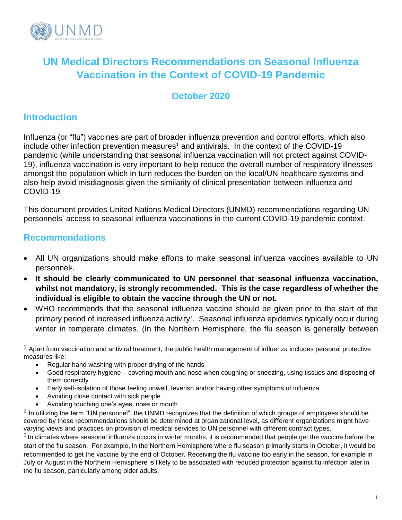

## **UN Medical Directors Recommendations on Seasonal Influenza Vaccination in the Context of COVID-19 Pandemic**

## **October 2020**

### **Introduction**

Influenza (or "flu") vaccines are part of broader influenza prevention and control efforts, which also include other infection prevention measures<sup>1</sup> and antivirals. In the context of the COVID-19 pandemic (while understanding that seasonal influenza vaccination will not protect against COVID-19), influenza vaccination is very important to help reduce the overall number of respiratory illnesses amongst the population which in turn reduces the burden on the local/UN healthcare systems and also help avoid misdiagnosis given the similarity of clinical presentation between influenza and COVID-19.

This document provides United Nations Medical Directors (UNMD) recommendations regarding UN personnels' access to seasonal influenza vaccinations in the current COVID-19 pandemic context.

### **Recommendations**

- All UN organizations should make efforts to make seasonal influenza vaccines available to UN personnel<sup>2</sup>.
- **It should be clearly communicated to UN personnel that seasonal influenza vaccination, whilst not mandatory, is strongly recommended. This is the case regardless of whether the individual is eligible to obtain the vaccine through the UN or not.**
- WHO recommends that the seasonal influenza vaccine should be given prior to the start of the primary period of increased influenza activity<sup>3</sup>. Seasonal influenza epidemics typically occur during winter in temperate climates. (In the Northern Hemisphere, the flu season is generally between

- Regular hand washing with proper drying of the hands
- Good respiratory hygiene covering mouth and nose when coughing or sneezing, using tissues and disposing of them correctly
- Early self-isolation of those feeling unwell, feverish and/or having other symptoms of influenza
- Avoiding close contact with sick people
- Avoiding touching one's eyes, nose or mouth

 $1$  Apart from vaccination and antiviral treatment, the public health management of influenza includes personal protective measures like:

 $2$  In utilizing the term "UN personnel", the UNMD recognizes that the definition of which groups of employees should be covered by these recommendations should be determined at organizational level, as different organizations might have varying views and practices on provision of medical services to UN personnel with different contract types.

 $3$  In climates where seasonal influenza occurs in winter months, it is recommended that people get the vaccine before the start of the flu season. For example, in the Northern Hemisphere where flu season primarily starts in October, it would be recommended to get the vaccine by the end of October. Receiving the flu vaccine too early in the season, for example in July or August in the Northern Hemisphere is likely to be associated with reduced protection against flu infection later in the flu season, particularly among older adults.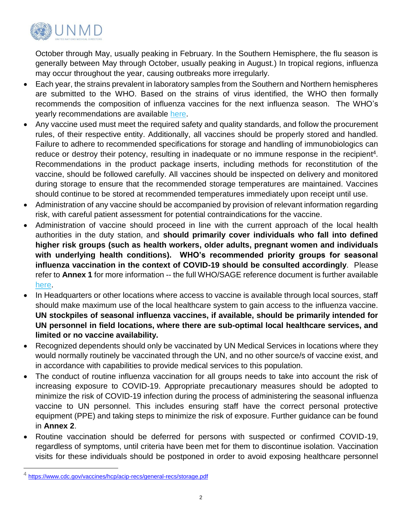

October through May, usually peaking in February. In the Southern Hemisphere, the flu season is generally between May through October, usually peaking in August.) In tropical regions, influenza may occur throughout the year, causing outbreaks more irregularly.

- Each year, the strains prevalent in laboratory samples from the Southern and Northern hemispheres are submitted to the WHO. Based on the strains of virus identified, the WHO then formally recommends the composition of influenza vaccines for the next influenza season. The WHO's yearly recommendations are available [here.](https://www.who.int/influenza/vaccines/virus/en/)
- Any vaccine used must meet the required safety and quality standards, and follow the procurement rules, of their respective entity. Additionally, all vaccines should be properly stored and handled. Failure to adhere to recommended specifications for storage and handling of immunobiologics can reduce or destroy their potency, resulting in inadequate or no immune response in the recipient<sup>4</sup>. Recommendations in the product package inserts, including methods for reconstitution of the vaccine, should be followed carefully. All vaccines should be inspected on delivery and monitored during storage to ensure that the recommended storage temperatures are maintained. Vaccines should continue to be stored at recommended temperatures immediately upon receipt until use.
- Administration of any vaccine should be accompanied by provision of relevant information regarding risk, with careful patient assessment for potential contraindications for the vaccine.
- Administration of vaccine should proceed in line with the current approach of the local health authorities in the duty station, and **should primarily cover individuals who fall into defined higher risk groups (such as health workers, older adults, pregnant women and individuals with underlying health conditions). WHO's recommended priority groups for seasonal influenza vaccination in the context of COVID-19 should be consulted accordingly**. Please refer to **Annex 1** for more information -- the full WHO/SAGE reference document is further available [here.](https://www.who.int/immunization/policy/position_papers/Interim_SAGE_influenza_vaccination_recommendations.pdf?ua=1)
- In Headquarters or other locations where access to vaccine is available through local sources, staff should make maximum use of the local healthcare system to gain access to the influenza vaccine. **UN stockpiles of seasonal influenza vaccines, if available, should be primarily intended for UN personnel in field locations, where there are sub-optimal local healthcare services, and limited or no vaccine availability.**
- Recognized dependents should only be vaccinated by UN Medical Services in locations where they would normally routinely be vaccinated through the UN, and no other source/s of vaccine exist, and in accordance with capabilities to provide medical services to this population.
- The conduct of routine influenza vaccination for all groups needs to take into account the risk of increasing exposure to COVID-19. Appropriate precautionary measures should be adopted to minimize the risk of COVID-19 infection during the process of administering the seasonal influenza vaccine to UN personnel. This includes ensuring staff have the correct personal protective equipment (PPE) and taking steps to minimize the risk of exposure. Further guidance can be found in **Annex 2**.
- Routine vaccination should be deferred for persons with suspected or confirmed COVID-19, regardless of symptoms, until [criteria](https://www.cdc.gov/coronavirus/2019-ncov/hcp/disposition-in-home-patients.html) have been met for them to discontinue isolation. Vaccination visits for these individuals should be postponed in order to avoid exposing healthcare personnel

<sup>4</sup> <https://www.cdc.gov/vaccines/hcp/acip-recs/general-recs/storage.pdf>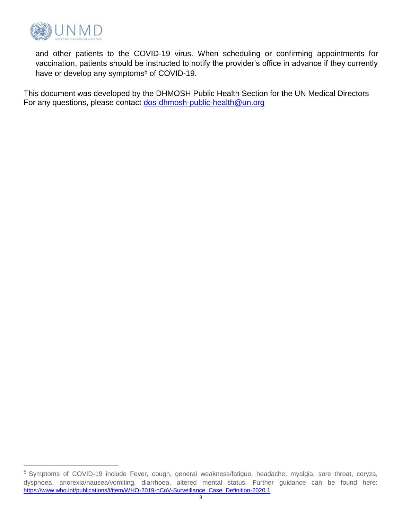

l

and other patients to the COVID-19 virus. When scheduling or confirming appointments for vaccination, patients should be instructed to notify the provider's office in advance if they currently have or develop any symptoms<sup>5</sup> of COVID-19.

This document was developed by the DHMOSH Public Health Section for the UN Medical Directors For any questions, please contact [dos-dhmosh-public-health@un.org](mailto:dos-dhmosh-public-health@un.org)

<sup>5</sup> Symptoms of COVID-19 include Fever, cough, general weakness/fatigue, headache, myalgia, sore throat, coryza, dyspnoea, anorexia/nausea/vomiting, diarrhoea, altered mental status. Further guidance can be found here: [https://www.who.int/publications/i/item/WHO-2019-nCoV-Surveillance\\_Case\\_Definition-2020.1](https://www.who.int/publications/i/item/WHO-2019-nCoV-Surveillance_Case_Definition-2020.1)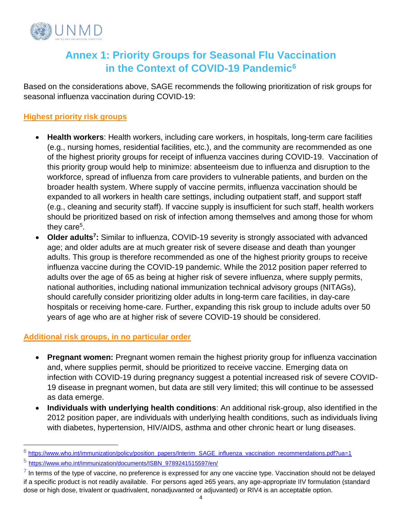

## **Annex 1: Priority Groups for Seasonal Flu Vaccination in the Context of COVID-19 Pandemic<sup>6</sup>**

Based on the considerations above, SAGE recommends the following prioritization of risk groups for seasonal influenza vaccination during COVID-19:

#### **Highest priority risk groups**

- **Health workers**: Health workers, including care workers, in hospitals, long-term care facilities (e.g., nursing homes, residential facilities, etc.), and the community are recommended as one of the highest priority groups for receipt of influenza vaccines during COVID-19. Vaccination of this priority group would help to minimize: absenteeism due to influenza and disruption to the workforce, spread of influenza from care providers to vulnerable patients, and burden on the broader health system. Where supply of vaccine permits, influenza vaccination should be expanded to all workers in health care settings, including outpatient staff, and support staff (e.g., cleaning and security staff). If vaccine supply is insufficient for such staff, health workers should be prioritized based on risk of infection among themselves and among those for whom they care<sup>5</sup>.
- **Older adults<sup>7</sup> :** Similar to influenza, COVID-19 severity is strongly associated with advanced age; and older adults are at much greater risk of severe disease and death than younger adults. This group is therefore recommended as one of the highest priority groups to receive influenza vaccine during the COVID-19 pandemic. While the 2012 position paper referred to adults over the age of 65 as being at higher risk of severe influenza, where supply permits, national authorities, including national immunization technical advisory groups (NITAGs), should carefully consider prioritizing older adults in long-term care facilities, in day-care hospitals or receiving home-care. Further, expanding this risk group to include adults over 50 years of age who are at higher risk of severe COVID-19 should be considered.

#### **Additional risk groups, in no particular order**

- **Pregnant women:** Pregnant women remain the highest priority group for influenza vaccination and, where supplies permit, should be prioritized to receive vaccine. Emerging data on infection with COVID-19 during pregnancy suggest a potential increased risk of severe COVID-19 disease in pregnant women, but data are still very limited; this will continue to be assessed as data emerge.
- **Individuals with underlying health conditions**: An additional risk-group, also identified in the 2012 position paper, are individuals with underlying health conditions, such as individuals living with diabetes, hypertension, HIV/AIDS, asthma and other chronic heart or lung diseases.

<sup>6</sup> [https://www.who.int/immunization/policy/position\\_papers/Interim\\_SAGE\\_influenza\\_vaccination\\_recommendations.pdf?ua=1](https://www.who.int/immunization/policy/position_papers/Interim_SAGE_influenza_vaccination_recommendations.pdf?ua=1)

<sup>5</sup> [https://www.who.int/immunization/documents/ISBN\\_9789241515597/en/](https://www.who.int/immunization/documents/ISBN_9789241515597/en/)

 $^7$  In terms of the type of vaccine, no preference is expressed for any one vaccine type. Vaccination should not be delayed if a specific product is not readily available. For persons aged ≥65 years, any age-appropriate IIV formulation (standard dose or high dose, trivalent or quadrivalent, nonadjuvanted or adjuvanted) or RIV4 is an acceptable option.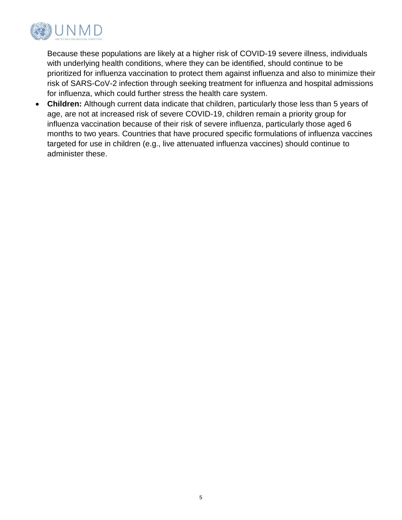

Because these populations are likely at a higher risk of COVID-19 severe illness, individuals with underlying health conditions, where they can be identified, should continue to be prioritized for influenza vaccination to protect them against influenza and also to minimize their risk of SARS-CoV-2 infection through seeking treatment for influenza and hospital admissions for influenza, which could further stress the health care system.

• **Children:** Although current data indicate that children, particularly those less than 5 years of age, are not at increased risk of severe COVID-19, children remain a priority group for influenza vaccination because of their risk of severe influenza, particularly those aged 6 months to two years. Countries that have procured specific formulations of influenza vaccines targeted for use in children (e.g., live attenuated influenza vaccines) should continue to administer these.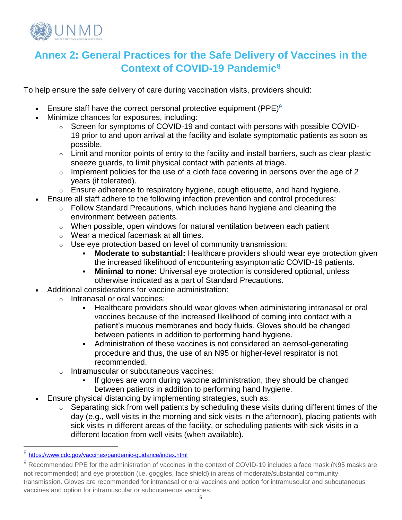

# **Annex 2: General Practices for the Safe Delivery of Vaccines in the Context of COVID-19 Pandemic<sup>8</sup>**

To help ensure the safe delivery of care during vaccination visits, providers should:

- Ensure staff have the correct personal protective equipment (PPE) $9$
- Minimize chances for exposures, including:
	- o Screen for symptoms of COVID-19 and contact with persons with possible COVID-19 prior to and upon arrival at the facility and isolate symptomatic patients as soon as possible.
	- $\circ$  Limit and monitor points of entry to the facility and install barriers, such as clear plastic sneeze guards, to limit physical contact with patients at triage.
	- $\circ$  Implement policies for the use of a cloth face covering in persons over the age of 2 years (if tolerated).
	- $\circ$  Ensure adherence to respiratory hygiene, cough etiquette, and hand hygiene.
- Ensure all staff adhere to the following infection prevention and control procedures:
	- $\circ$  Follow Standard Precautions, which includes hand hygiene and cleaning the environment between patients.
	- $\circ$  When possible, open windows for natural ventilation between each patient
	- o Wear a medical facemask at all times.
	- $\circ$  Use eye protection based on level of community transmission:
		- **Moderate to substantial:** Healthcare providers should wear eye protection given the increased likelihood of encountering asymptomatic COVID-19 patients.
		- **Minimal to none:** Universal eye protection is considered optional, unless otherwise indicated as a part of Standard Precautions.
- Additional considerations for vaccine administration:
	- o Intranasal or oral vaccines:
		- **EXTERN** Healthcare providers should wear gloves when administering intranasal or oral vaccines because of the increased likelihood of coming into contact with a patient's mucous membranes and body fluids. Gloves should be changed between patients in addition to performing hand hygiene.
		- Administration of these vaccines is not considered an aerosol-generating procedure and thus, the use of an N95 or higher-level respirator is not recommended.
	- o Intramuscular or subcutaneous vaccines:
		- If gloves are worn during vaccine administration, they should be changed between patients in addition to performing hand hygiene.
- Ensure physical distancing by implementing strategies, such as:
	- $\circ$  Separating sick from well patients by scheduling these visits during different times of the day (e.g., well visits in the morning and sick visits in the afternoon), placing patients with sick visits in different areas of the facility, or scheduling patients with sick visits in a different location from well visits (when available).

<sup>8</sup> <https://www.cdc.gov/vaccines/pandemic-guidance/index.html>

<sup>9</sup> Recommended PPE for the administration of vaccines in the context of COVID-19 includes a face mask (N95 masks are not recommended) and eye protection (i.e. goggles, face shield) in areas of moderate/substantial community transmission. Gloves are recommended for intranasal or oral vaccines and option for intramuscular and subcutaneous vaccines and option for intramuscular or subcutaneous vaccines.